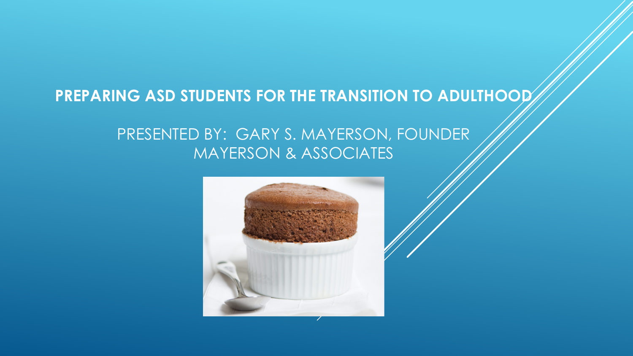#### **PREPARING ASD STUDENTS FOR THE TRANSITION TO ADULTHOOD**

#### PRESENTED BY: GARY S. MAYERSON, FOUNDER MAYERSON & ASSOCIATES

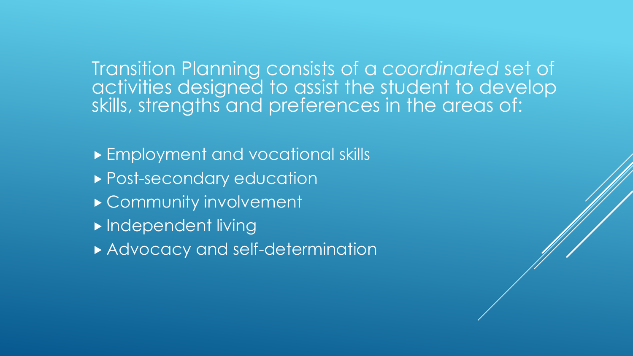Transition Planning consists of a *coordinated* set of activities designed to assist the student to develop skills, strengths and preferences in the areas of:

- ▶ Employment and vocational skills
- ▶ Post-secondary education
- Community involvement
- **Independent living**
- Advocacy and self-determination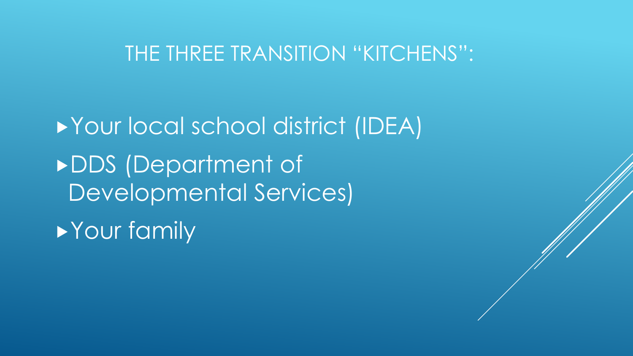#### THE THREE TRANSITION "KITCHENS":

Your local school district (IDEA) DDS (Department of Developmental Services) Your family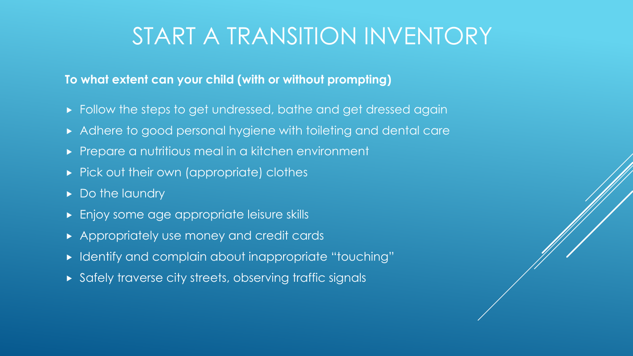### START A TRANSITION INVENTORY

#### **To what extent can your child (with or without prompting)**

- Follow the steps to get undressed, bathe and get dressed again
- Adhere to good personal hygiene with toileting and dental care
- **Prepare a nutritious meal in a kitchen environment**
- Pick out their own (appropriate) clothes
- Do the laundry
- **Enjoy some age appropriate leisure skills**
- **Appropriately use money and credit cards**
- Identify and complain about inappropriate "touching"
- **Safely traverse city streets, observing traffic signals**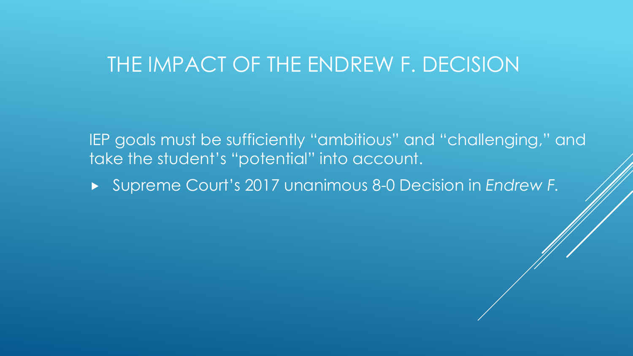#### THE IMPACT OF THE ENDREW F. DECISION

IEP goals must be sufficiently "ambitious" and "challenging," and take the student's "potential" into account.

Supreme Court's 2017 unanimous 8-0 Decision in *Endrew F.*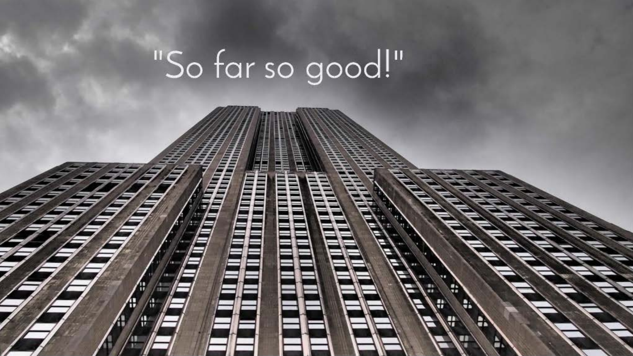# "So far so good!"

j

Ę

Æ

È

 $\equiv$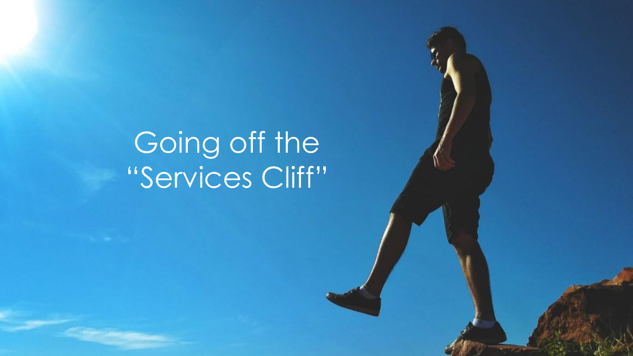## Going off the "Services Cliff"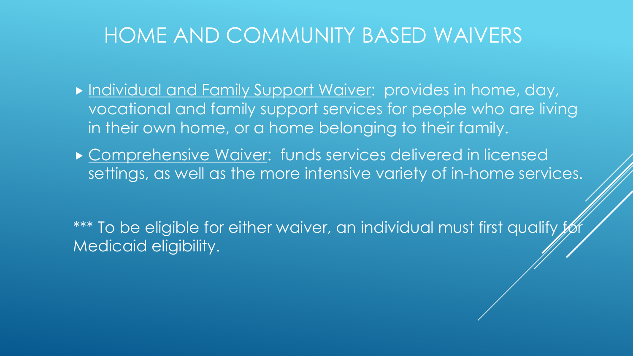#### HOME AND COMMUNITY BASED WAIVERS

- $\blacktriangleright$  Individual and Family Support Waiver: provides in home, day, vocational and family support services for people who are living in their own home, or a home belonging to their family.
- ▶ Comprehensive Waiver: funds services delivered in licensed settings, as well as the more intensive variety of in-home services.

\*\*\* To be eligible for either waiver, an individual must first qualify Medicaid eligibility.